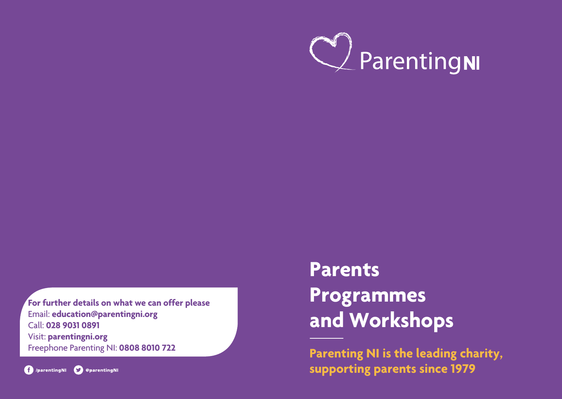

**For further details on what we can offer please** Email: **education@parentingni.org** Call: **028 9031 0891** Visit: **parentingni.org** Freephone Parenting NI: **0808 8010 722**



# **Parents Programmes and Workshops**

**Parenting NI is the leading charity, supporting parents since 1979**